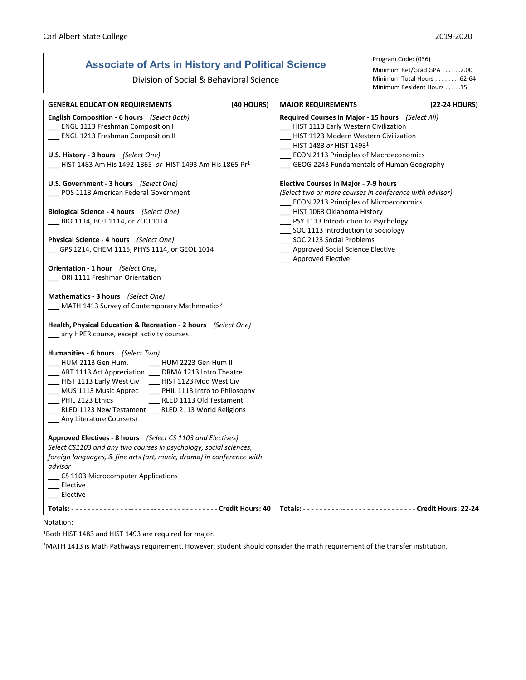## **Associate of Arts in History and Political Science**

Division of Social & Behavioral Science

## Program Code: (036)

Minimum Ret/Grad GPA . . . . . . 2.00 Minimum Total Hours . . . . . . . 62-64 Minimum Resident Hours . . . . .15

| <b>GENERAL EDUCATION REQUIREMENTS</b>                                                                                                                                                                                                                                                                                                                                                                              | (40 HOURS) | <b>MAJOR REQUIREMENTS</b>                                                                                                                                                                                                                                     | (22-24 HOURS) |
|--------------------------------------------------------------------------------------------------------------------------------------------------------------------------------------------------------------------------------------------------------------------------------------------------------------------------------------------------------------------------------------------------------------------|------------|---------------------------------------------------------------------------------------------------------------------------------------------------------------------------------------------------------------------------------------------------------------|---------------|
| <b>English Composition - 6 hours</b> (Select Both)<br><b>ENGL 1113 Freshman Composition I</b><br><b>ENGL 1213 Freshman Composition II</b><br>U.S. History - 3 hours (Select One)<br>HIST 1483 Am His 1492-1865 or HIST 1493 Am His 1865-Pr <sup>1</sup>                                                                                                                                                            |            | Required Courses in Major - 15 hours (Select All)<br>__ HIST 1113 Early Western Civilization<br>HIST 1123 Modern Western Civilization<br>__ HIST 1483 or HIST 14931<br>__ ECON 2113 Principles of Macroeconomics<br>GEOG 2243 Fundamentals of Human Geography |               |
| U.S. Government - 3 hours (Select One)<br>POS 1113 American Federal Government                                                                                                                                                                                                                                                                                                                                     |            | <b>Elective Courses in Major - 7-9 hours</b><br>(Select two or more courses in conference with advisor)<br>ECON 2213 Principles of Microeconomics                                                                                                             |               |
| Biological Science - 4 hours (Select One)<br>BIO 1114, BOT 1114, or ZOO 1114<br><b>Physical Science - 4 hours</b> (Select One)                                                                                                                                                                                                                                                                                     |            | __ HIST 1063 Oklahoma History<br>__ PSY 1113 Introduction to Psychology<br>SOC 1113 Introduction to Sociology<br>__ SOC 2123 Social Problems                                                                                                                  |               |
| GPS 1214, CHEM 1115, PHYS 1114, or GEOL 1014<br>Orientation - 1 hour (Select One)                                                                                                                                                                                                                                                                                                                                  |            | __ Approved Social Science Elective<br>__ Approved Elective                                                                                                                                                                                                   |               |
| ORI 1111 Freshman Orientation<br>Mathematics - 3 hours (Select One)                                                                                                                                                                                                                                                                                                                                                |            |                                                                                                                                                                                                                                                               |               |
| MATH 1413 Survey of Contemporary Mathematics <sup>2</sup><br>Health, Physical Education & Recreation - 2 hours (Select One)                                                                                                                                                                                                                                                                                        |            |                                                                                                                                                                                                                                                               |               |
| __ any HPER course, except activity courses                                                                                                                                                                                                                                                                                                                                                                        |            |                                                                                                                                                                                                                                                               |               |
| Humanities - 6 hours (Select Two)<br>HUM 2113 Gen Hum. I<br>HUM 2223 Gen Hum II<br>___ ART 1113 Art Appreciation ___ DRMA 1213 Intro Theatre<br>HIST 1113 Early West Civ ____ HIST 1123 Mod West Civ<br>_ MUS 1113 Music Apprec _____ PHIL 1113 Intro to Philosophy<br>__ RLED 1113 Old Testament<br>___ PHIL 2123 Ethics<br>_RLED 1123 New Testament ___ RLED 2113 World Religions<br>__ Any Literature Course(s) |            |                                                                                                                                                                                                                                                               |               |
| Approved Electives - 8 hours (Select CS 1103 and Electives)<br>Select CS1103 and any two courses in psychology, social sciences,<br>foreign languages, & fine arts (art, music, drama) in conference with<br>advisor<br>CS 1103 Microcomputer Applications<br>__ Elective                                                                                                                                          |            |                                                                                                                                                                                                                                                               |               |
| Elective                                                                                                                                                                                                                                                                                                                                                                                                           |            |                                                                                                                                                                                                                                                               |               |
|                                                                                                                                                                                                                                                                                                                                                                                                                    |            |                                                                                                                                                                                                                                                               |               |

Notation:

1Both HIST 1483 and HIST 1493 are required for major.

2MATH 1413 is Math Pathways requirement. However, student should consider the math requirement of the transfer institution.